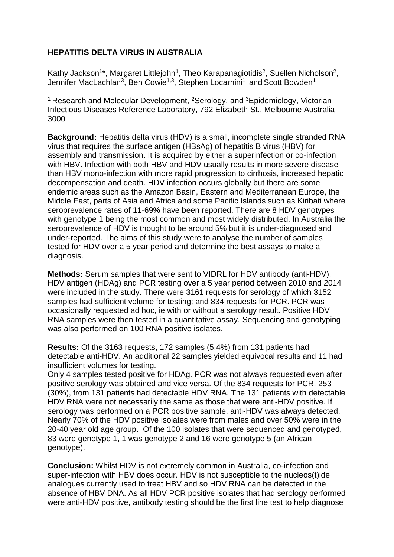## **HEPATITIS DELTA VIRUS IN AUSTRALIA**

Kathy Jackson<sup>1\*</sup>, Margaret Littlejohn<sup>1</sup>, Theo Karapanagiotidis<sup>2</sup>, Suellen Nicholson<sup>2</sup>, Jennifer MacLachlan<sup>3</sup>, Ben Cowie<sup>1,3</sup>, Stephen Locarnini<sup>1</sup> and Scott Bowden<sup>1</sup>

<sup>1</sup> Research and Molecular Development, <sup>2</sup>Serology, and <sup>3</sup>Epidemiology, Victorian Infectious Diseases Reference Laboratory, 792 Elizabeth St., Melbourne Australia 3000

**Background:** Hepatitis delta virus (HDV) is a small, incomplete single stranded RNA virus that requires the surface antigen (HBsAg) of hepatitis B virus (HBV) for assembly and transmission. It is acquired by either a superinfection or co-infection with HBV. Infection with both HBV and HDV usually results in more severe disease than HBV mono-infection with more rapid progression to cirrhosis, increased hepatic decompensation and death. HDV infection occurs globally but there are some endemic areas such as the Amazon Basin, Eastern and Mediterranean Europe, the Middle East, parts of Asia and Africa and some Pacific Islands such as Kiribati where seroprevalence rates of 11-69% have been reported. There are 8 HDV genotypes with genotype 1 being the most common and most widely distributed. In Australia the seroprevalence of HDV is thought to be around 5% but it is under-diagnosed and under-reported. The aims of this study were to analyse the number of samples tested for HDV over a 5 year period and determine the best assays to make a diagnosis.

**Methods:** Serum samples that were sent to VIDRL for HDV antibody (anti-HDV), HDV antigen (HDAg) and PCR testing over a 5 year period between 2010 and 2014 were included in the study. There were 3161 requests for serology of which 3152 samples had sufficient volume for testing; and 834 requests for PCR. PCR was occasionally requested ad hoc, ie with or without a serology result. Positive HDV RNA samples were then tested in a quantitative assay. Sequencing and genotyping was also performed on 100 RNA positive isolates.

**Results:** Of the 3163 requests, 172 samples (5.4%) from 131 patients had detectable anti-HDV. An additional 22 samples yielded equivocal results and 11 had insufficient volumes for testing.

Only 4 samples tested positive for HDAg. PCR was not always requested even after positive serology was obtained and vice versa. Of the 834 requests for PCR, 253 (30%), from 131 patients had detectable HDV RNA. The 131 patients with detectable HDV RNA were not necessarily the same as those that were anti-HDV positive. If serology was performed on a PCR positive sample, anti-HDV was always detected. Nearly 70% of the HDV positive isolates were from males and over 50% were in the 20-40 year old age group. Of the 100 isolates that were sequenced and genotyped, 83 were genotype 1, 1 was genotype 2 and 16 were genotype 5 (an African genotype).

**Conclusion:** Whilst HDV is not extremely common in Australia, co-infection and super-infection with HBV does occur. HDV is not susceptible to the nucleos(t)ide analogues currently used to treat HBV and so HDV RNA can be detected in the absence of HBV DNA. As all HDV PCR positive isolates that had serology performed were anti-HDV positive, antibody testing should be the first line test to help diagnose